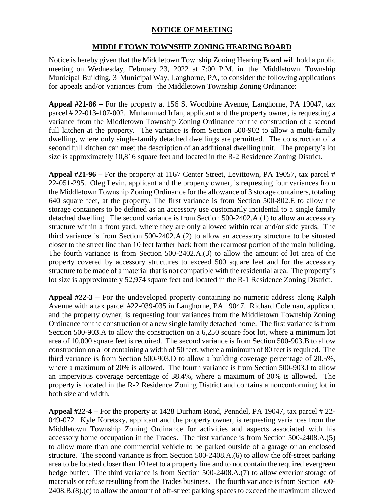## **NOTICE OF MEETING**

## **MIDDLETOWN TOWNSHIP ZONING HEARING BOARD**

Notice is hereby given that the Middletown Township Zoning Hearing Board will hold a public meeting on Wednesday, February 23, 2022 at 7:00 P.M. in the Middletown Township Municipal Building, 3 Municipal Way, Langhorne, PA, to consider the following applications for appeals and/or variances from the Middletown Township Zoning Ordinance:

**Appeal #21-86 –** For the property at 156 S. Woodbine Avenue, Langhorne, PA 19047, tax parcel # 22-013-107-002. Muhammad Irfan, applicant and the property owner*,* is requesting a variance from the Middletown Township Zoning Ordinance for the construction of a second full kitchen at the property. The variance is from Section 500-902 to allow a multi-family dwelling, where only single-family detached dwellings are permitted. The construction of a second full kitchen can meet the description of an additional dwelling unit. The property's lot size is approximately 10,816 square feet and located in the R-2 Residence Zoning District.

**Appeal #21-96 –** For the property at 1167 Center Street, Levittown, PA 19057, tax parcel # 22-051-295. Oleg Levin, applicant and the property owner, is requesting four variances from the Middletown Township Zoning Ordinance for the allowance of 3 storage containers, totaling 640 square feet, at the property. The first variance is from Section 500-802.E to allow the storage containers to be defined as an accessory use customarily incidental to a single family detached dwelling. The second variance is from Section 500-2402.A.(1) to allow an accessory structure within a front yard, where they are only allowed within rear and/or side yards. The third variance is from Section 500-2402.A.(2) to allow an accessory structure to be situated closer to the street line than 10 feet farther back from the rearmost portion of the main building. The fourth variance is from Section 500-2402.A.(3) to allow the amount of lot area of the property covered by accessory structures to exceed 500 square feet and for the accessory structure to be made of a material that is not compatible with the residential area. The property's lot size is approximately 52,974 square feet and located in the R-1 Residence Zoning District.

**Appeal #22-3 –** For the undeveloped property containing no numeric address along Ralph Avenue with a tax parcel #22-039-035 in Langhorne, PA 19047. Richard Coleman, applicant and the property owner*,* is requesting four variances from the Middletown Township Zoning Ordinance for the construction of a new single family detached home. The first variance is from Section 500-903.A to allow the construction on a 6,250 square foot lot, where a minimum lot area of 10,000 square feet is required. The second variance is from Section 500-903.B to allow construction on a lot containing a width of 50 feet, where a minimum of 80 feet is required. The third variance is from Section 500-903.D to allow a building coverage percentage of 20.5%, where a maximum of 20% is allowed. The fourth variance is from Section 500-903.I to allow an impervious coverage percentage of 38.4%, where a maximum of 30% is allowed. The property is located in the R-2 Residence Zoning District and contains a nonconforming lot in both size and width.

**Appeal #22-4 –** For the property at 1428 Durham Road, Penndel, PA 19047, tax parcel # 22- 049-072. Kyle Koretsky, applicant and the property owner, is requesting variances from the Middletown Township Zoning Ordinance for activities and aspects associated with his accessory home occupation in the Trades. The first variance is from Section 500-2408.A.(5) to allow more than one commercial vehicle to be parked outside of a garage or an enclosed structure. The second variance is from Section 500-2408.A.(6) to allow the off-street parking area to be located closer than 10 feet to a property line and to not contain the required evergreen hedge buffer. The third variance is from Section 500-2408.A.(7) to allow exterior storage of materials or refuse resulting from the Trades business. The fourth variance is from Section 500- 2408.B.(8).(c) to allow the amount of off-street parking spaces to exceed the maximum allowed